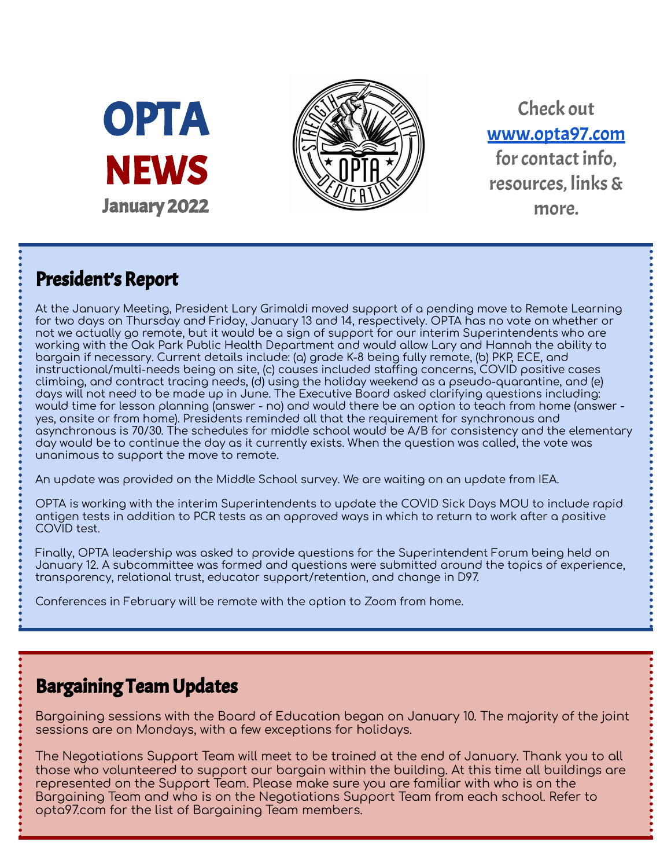



Check out [www.opta97.com](http://www.opta97.com) for contact info, resources, links& more.

## President's Report

At the January Meeting, President Lary Grimaldi moved support of a pending move to Remote Learning for two days on Thursday and Friday, January 13 and 14, respectively. OPTA has no vote on whether or not we actually go remote, but it would be a sign of support for our interim Superintendents who are working with the Oak Park Public Health Department and would allow Lary and Hannah the ability to bargain if necessary. Current details include: (a) grade K-8 being fully remote, (b) PKP, ECE, and instructional/multi-needs being on site, (c) causes included staffing concerns, COVID positive cases climbing, and contract tracing needs, (d) using the holiday weekend as a pseudo-quarantine, and (e) days will not need to be made up in June. The Executive Board asked clarifying questions including: would time for lesson planning (answer - no) and would there be an option to teach from home (answer yes, onsite or from home). Presidents reminded all that the requirement for synchronous and asynchronous is 70/30. The schedules for middle school would be A/B for consistency and the elementary day would be to continue the day as it currently exists. When the question was called, the vote was unanimous to support the move to remote.

An update was provided on the Middle School survey. We are waiting on an update from IEA.

OPTA is working with the interim Superintendents to update the COVID Sick Days MOU to include rapid antigen tests in addition to PCR tests as an approved ways in which to return to work after a positive COVID test.

Finally, OPTA leadership was asked to provide questions for the Superintendent Forum being held on January 12. A subcommittee was formed and questions were submitted around the topics of experience, transparency, relational trust, educator support/retention, and change in D97.

Conferences in February will be remote with the option to Zoom from home.

## Bargaining Team Updates

Bargaining sessions with the Board of Education began on January 10. The majority of the joint sessions are on Mondays, with a few exceptions for holidays.

The Negotiations Support Team will meet to be trained at the end of January. Thank you to all those who volunteered to support our bargain within the building. At this time all buildings are represented on the Support Team. Please make sure you are familiar with who is on the Bargaining Team and who is on the Negotiations Support Team from each school. Refer to opta97.com for the list of Bargaining Team members.